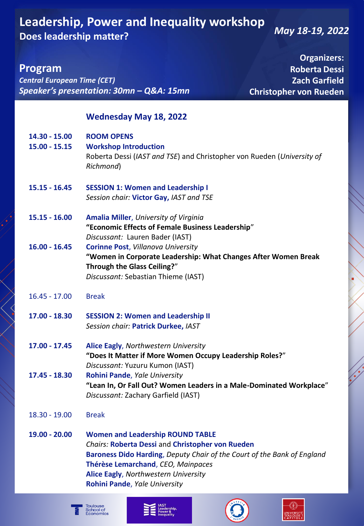# **Leadership, Power and Inequality workshop Does leadership matter?**

*May 18-19, 2022*

**Christopher von Rueden** 

**Organizers: Roberta Dessi Zach Garfield** 

**Program**

*Central European Time (CET) Speaker's presentation: 30mn – Q&A: 15mn*

#### **Wednesday May 18, 2022**

| <b>ROOM OPENS</b><br><b>Workshop Introduction</b>                                                                                                                                                                                                                                            |
|----------------------------------------------------------------------------------------------------------------------------------------------------------------------------------------------------------------------------------------------------------------------------------------------|
| Roberta Dessi (IAST and TSE) and Christopher von Rueden (University of<br>Richmond)                                                                                                                                                                                                          |
| <b>SESSION 1: Women and Leadership I</b><br>Session chair: Victor Gay, IAST and TSE                                                                                                                                                                                                          |
| <b>Amalia Miller, University of Virginia</b><br>"Economic Effects of Female Business Leadership"<br>Discussant: Lauren Bader (IAST)                                                                                                                                                          |
| <b>Corinne Post, Villanova University</b><br>"Women in Corporate Leadership: What Changes After Women Break<br>Through the Glass Ceiling?"<br>Discussant: Sebastian Thieme (IAST)                                                                                                            |
| <b>Break</b>                                                                                                                                                                                                                                                                                 |
| <b>SESSION 2: Women and Leadership II</b><br>Session chair: Patrick Durkee, IAST                                                                                                                                                                                                             |
| Alice Eagly, Northwestern University<br>"Does It Matter if More Women Occupy Leadership Roles?"<br>Discussant: Yuzuru Kumon (IAST)                                                                                                                                                           |
| Rohini Pande, Yale University<br>"Lean In, Or Fall Out? Women Leaders in a Male-Dominated Workplace"<br>Discussant: Zachary Garfield (IAST)                                                                                                                                                  |
| <b>Break</b>                                                                                                                                                                                                                                                                                 |
| <b>Women and Leadership ROUND TABLE</b><br><b>Chairs: Roberta Dessi and Christopher von Rueden</b><br>Baroness Dido Harding, Deputy Chair of the Court of the Bank of England<br>Thérèse Lemarchand, CEO, Mainpaces<br>Alice Eagly, Northwestern University<br>Rohini Pande, Yale University |
|                                                                                                                                                                                                                                                                                              |